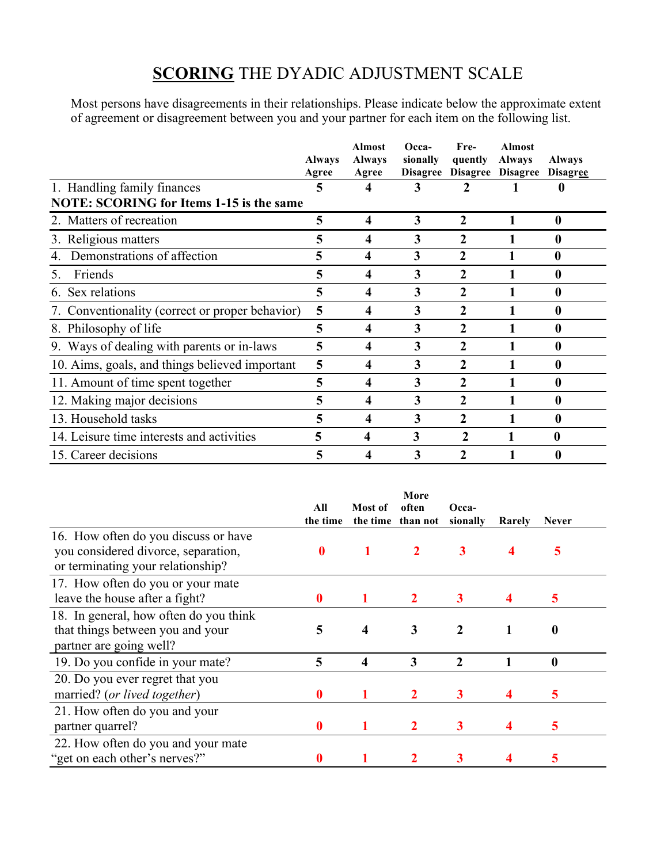## **SCORING** THE DYADIC ADJUSTMENT SCALE

Most persons have disagreements in their relationships. Please indicate below the approximate extent of agreement or disagreement between you and your partner for each item on the following list.

|                                                 | <b>Always</b><br>Agree | <b>Almost</b><br><b>Always</b><br>Agree | Occa-<br>sionally | Fre-<br>quently | <b>Almost</b><br>Always<br>Disagree Disagree Disagree Disagree | <b>Always</b>    |
|-------------------------------------------------|------------------------|-----------------------------------------|-------------------|-----------------|----------------------------------------------------------------|------------------|
| 1. Handling family finances                     | 5                      |                                         | 3                 |                 |                                                                |                  |
| <b>NOTE: SCORING for Items 1-15 is the same</b> |                        |                                         |                   |                 |                                                                |                  |
| 2. Matters of recreation                        | 5                      | $\boldsymbol{4}$                        | 3                 | $\overline{2}$  | 1                                                              | $\boldsymbol{0}$ |
| 3. Religious matters                            | 5                      | 4                                       | 3                 | $\overline{2}$  |                                                                | $\bf{0}$         |
| Demonstrations of affection                     | 5                      | 4                                       | 3                 | $\overline{2}$  |                                                                | 0                |
| Friends<br>5.                                   | 5                      | 4                                       | 3                 | $\overline{2}$  |                                                                | $\bf{0}$         |
| 6. Sex relations                                | 5                      | 4                                       | 3                 | $\overline{2}$  |                                                                | 0                |
| 7. Conventionality (correct or proper behavior) | 5                      | 4                                       | 3                 | $\overline{2}$  |                                                                | 0                |
| 8. Philosophy of life                           | 5                      | 4                                       | 3                 | 2               |                                                                | 0                |
| 9. Ways of dealing with parents or in-laws      | 5                      | 4                                       | 3                 | $\mathbf{2}$    |                                                                | 0                |
| 10. Aims, goals, and things believed important  | 5                      | 4                                       | 3                 | $\overline{2}$  |                                                                | $\bf{0}$         |
| 11. Amount of time spent together               | 5                      | 4                                       | 3                 | $\overline{2}$  |                                                                | $\bf{0}$         |
| 12. Making major decisions                      | 5                      | 4                                       | 3                 | $\overline{2}$  |                                                                | $\bf{0}$         |
| 13. Household tasks                             | 5                      | 4                                       | 3                 | $\overline{2}$  |                                                                | 0                |
| 14. Leisure time interests and activities       | 5                      | 4                                       | 3                 | 2               |                                                                | 0                |
| 15. Career decisions                            |                        | 4                                       | 3                 | 2               |                                                                | $\bf{0}$         |

|                                                                                                                  | All<br>the time  | Most of                 | More<br>often<br>the time than not | Occa-<br>sionally | Rarely | <b>Never</b> |
|------------------------------------------------------------------------------------------------------------------|------------------|-------------------------|------------------------------------|-------------------|--------|--------------|
| 16. How often do you discuss or have<br>you considered divorce, separation,<br>or terminating your relationship? | $\boldsymbol{0}$ |                         | $\mathbf{2}$                       | 3                 |        | 5            |
| 17. How often do you or your mate<br>leave the house after a fight?                                              | 0                |                         |                                    | 3                 |        | 5            |
| 18. In general, how often do you think<br>that things between you and your<br>partner are going well?            | 5                | $\overline{\mathbf{4}}$ | $\mathbf{3}$                       | $\mathbf{2}$      | 1      | 0            |
| 19. Do you confide in your mate?                                                                                 | 5                | 4                       | 3                                  | $\mathbf{2}$      |        | 0            |
| 20. Do you ever regret that you<br>married? (or lived together)                                                  | 0                |                         |                                    | 3                 |        | 5            |
| 21. How often do you and your<br>partner quarrel?                                                                | 0                |                         |                                    | 3                 |        | 5            |
| 22. How often do you and your mate<br>"get on each other's nerves?"                                              |                  |                         |                                    |                   |        | 5            |